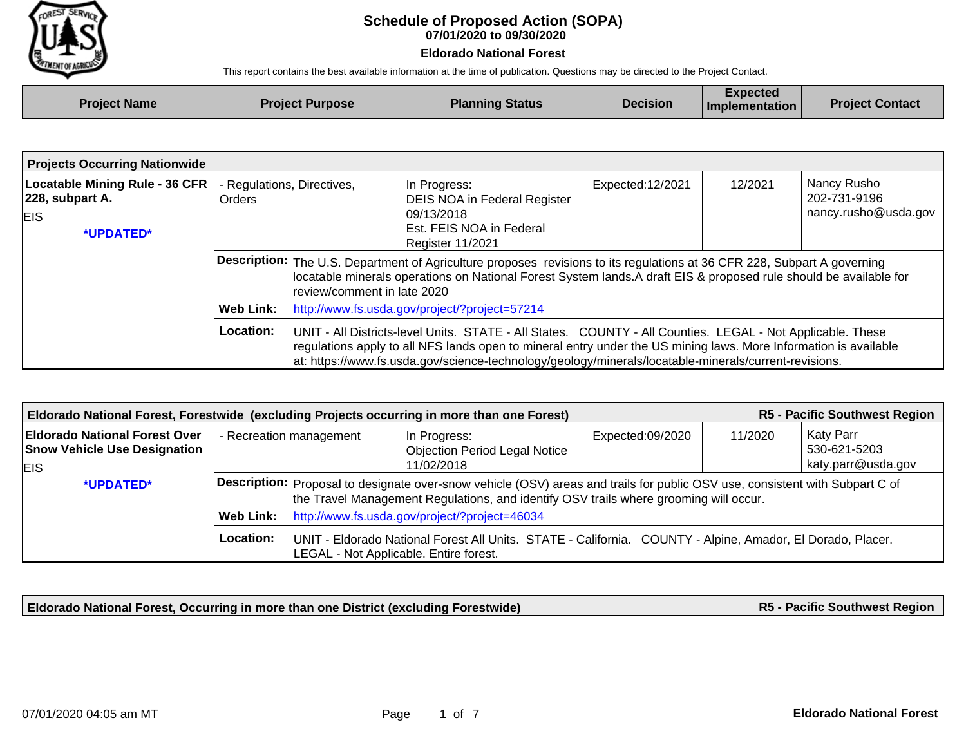

## **07/01/2020 to 09/30/2020 Schedule of Proposed Action (SOPA)**

## **Eldorado National Forest**

This report contains the best available information at the time of publication. Questions may be directed to the Project Contact.

| <b>Project Name</b> | <b>Project Purpose</b> | <b>Planning Status</b> | <b>Decision</b> | Expected<br>Implementation | <b>Project Contact</b> |
|---------------------|------------------------|------------------------|-----------------|----------------------------|------------------------|
|                     |                        |                        |                 |                            |                        |

| <b>Projects Occurring Nationwide</b>                                                                 |                                                                                                                                                                                                                                                                                                                                                      |                             |                                                                                                                                                                                                                                                                                                |                                                                                    |  |  |  |
|------------------------------------------------------------------------------------------------------|------------------------------------------------------------------------------------------------------------------------------------------------------------------------------------------------------------------------------------------------------------------------------------------------------------------------------------------------------|-----------------------------|------------------------------------------------------------------------------------------------------------------------------------------------------------------------------------------------------------------------------------------------------------------------------------------------|------------------------------------------------------------------------------------|--|--|--|
| <b>Locatable Mining Rule - 36 CFR</b><br>$ 228,$ subpart A.<br><b>EIS</b><br><i><b>*UPDATED*</b></i> | - Regulations, Directives,<br>Orders                                                                                                                                                                                                                                                                                                                 |                             | In Progress:<br>DEIS NOA in Federal Register<br>09/13/2018<br>Est. FEIS NOA in Federal<br><b>Register 11/2021</b>                                                                                                                                                                              | Nancy Rusho<br>12/2021<br>Expected:12/2021<br>202-731-9196<br>nancy.rusho@usda.gov |  |  |  |
|                                                                                                      | Web Link:                                                                                                                                                                                                                                                                                                                                            | review/comment in late 2020 | Description: The U.S. Department of Agriculture proposes revisions to its regulations at 36 CFR 228, Subpart A governing<br>locatable minerals operations on National Forest System lands.A draft EIS & proposed rule should be available for<br>http://www.fs.usda.gov/project/?project=57214 |                                                                                    |  |  |  |
|                                                                                                      | Location:<br>UNIT - All Districts-level Units. STATE - All States. COUNTY - All Counties. LEGAL - Not Applicable. These<br>regulations apply to all NFS lands open to mineral entry under the US mining laws. More Information is available<br>at: https://www.fs.usda.gov/science-technology/geology/minerals/locatable-minerals/current-revisions. |                             |                                                                                                                                                                                                                                                                                                |                                                                                    |  |  |  |

| R5 - Pacific Southwest Region<br>Eldorado National Forest, Forestwide (excluding Projects occurring in more than one Forest) |                         |                                                                                                                                                                                                                              |                                                      |                  |         |                           |  |
|------------------------------------------------------------------------------------------------------------------------------|-------------------------|------------------------------------------------------------------------------------------------------------------------------------------------------------------------------------------------------------------------------|------------------------------------------------------|------------------|---------|---------------------------|--|
| <b>Eldorado National Forest Over</b><br><b>Snow Vehicle Use Designation</b>                                                  | - Recreation management |                                                                                                                                                                                                                              | In Progress:<br><b>Objection Period Legal Notice</b> | Expected:09/2020 | 11/2020 | Katy Parr<br>530-621-5203 |  |
| <b>EIS</b>                                                                                                                   |                         |                                                                                                                                                                                                                              | 11/02/2018                                           |                  |         | katy.parr@usda.gov        |  |
| *UPDATED*                                                                                                                    |                         | <b>Description:</b> Proposal to designate over-snow vehicle (OSV) areas and trails for public OSV use, consistent with Subpart C of<br>the Travel Management Regulations, and identify OSV trails where grooming will occur. |                                                      |                  |         |                           |  |
|                                                                                                                              | Web Link:               |                                                                                                                                                                                                                              | http://www.fs.usda.gov/project/?project=46034        |                  |         |                           |  |
|                                                                                                                              | Location:               | UNIT - Eldorado National Forest All Units. STATE - California. COUNTY - Alpine, Amador, El Dorado, Placer.<br>LEGAL - Not Applicable. Entire forest.                                                                         |                                                      |                  |         |                           |  |

**Eldorado National Forest, Occurring in more than one District (excluding Forestwide)**

**R5 - Pacific Southwest Region**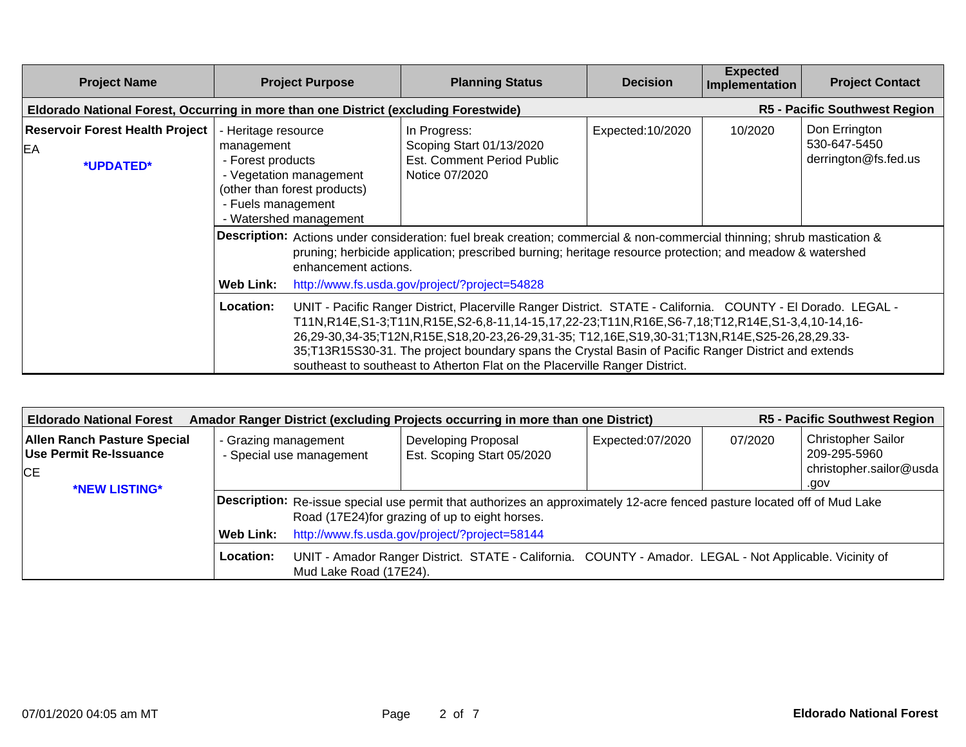| <b>Project Name</b><br><b>Project Purpose</b>                                        |                                                                                                                                                                                                                                                                                                                                                                                                                                                                                                                          | <b>Planning Status</b> | <b>Decision</b>                                                                                                                                                                                                                                                                       | <b>Expected</b><br>Implementation | <b>Project Contact</b>                                           |                                      |
|--------------------------------------------------------------------------------------|--------------------------------------------------------------------------------------------------------------------------------------------------------------------------------------------------------------------------------------------------------------------------------------------------------------------------------------------------------------------------------------------------------------------------------------------------------------------------------------------------------------------------|------------------------|---------------------------------------------------------------------------------------------------------------------------------------------------------------------------------------------------------------------------------------------------------------------------------------|-----------------------------------|------------------------------------------------------------------|--------------------------------------|
| Eldorado National Forest, Occurring in more than one District (excluding Forestwide) |                                                                                                                                                                                                                                                                                                                                                                                                                                                                                                                          |                        |                                                                                                                                                                                                                                                                                       |                                   |                                                                  | <b>R5 - Pacific Southwest Region</b> |
| <b>Reservoir Forest Health Project</b><br>EA<br>*UPDATED*                            | - Heritage resource<br>management<br>- Forest products<br>- Vegetation management<br>(other than forest products)<br>- Fuels management<br>- Watershed management                                                                                                                                                                                                                                                                                                                                                        |                        | In Progress:<br>Scoping Start 01/13/2020<br>Est. Comment Period Public<br>Notice 07/2020                                                                                                                                                                                              | Expected:10/2020                  | Don Errington<br>10/2020<br>530-647-5450<br>derrington@fs.fed.us |                                      |
|                                                                                      | <b>Web Link:</b>                                                                                                                                                                                                                                                                                                                                                                                                                                                                                                         | enhancement actions.   | Description: Actions under consideration: fuel break creation; commercial & non-commercial thinning; shrub mastication &<br>pruning; herbicide application; prescribed burning; heritage resource protection; and meadow & watershed<br>http://www.fs.usda.gov/project/?project=54828 |                                   |                                                                  |                                      |
|                                                                                      | <b>Location:</b><br>UNIT - Pacific Ranger District, Placerville Ranger District. STATE - California. COUNTY - El Dorado. LEGAL -<br>T11N,R14E,S1-3;T11N,R15E,S2-6,8-11,14-15,17,22-23;T11N,R16E,S6-7,18;T12,R14E,S1-3,4,10-14,16-<br>26,29-30,34-35;T12N,R15E,S18,20-23,26-29,31-35; T12,16E,S19,30-31;T13N,R14E,S25-26,28,29.33-<br>35;T13R15S30-31. The project boundary spans the Crystal Basin of Pacific Ranger District and extends<br>southeast to southeast to Atherton Flat on the Placerville Ranger District. |                        |                                                                                                                                                                                                                                                                                       |                                   |                                                                  |                                      |

| <b>R5 - Pacific Southwest Region</b><br>Amador Ranger District (excluding Projects occurring in more than one District)<br><b>Eldorado National Forest</b> |                                                  |                                                                                                         |                                                                                                                                 |                  |         |                                           |  |  |
|------------------------------------------------------------------------------------------------------------------------------------------------------------|--------------------------------------------------|---------------------------------------------------------------------------------------------------------|---------------------------------------------------------------------------------------------------------------------------------|------------------|---------|-------------------------------------------|--|--|
| <b>Allen Ranch Pasture Special</b><br>Use Permit Re-Issuance                                                                                               | - Grazing management<br>- Special use management |                                                                                                         | Developing Proposal<br>Est. Scoping Start 05/2020                                                                               | Expected:07/2020 | 07/2020 | <b>Christopher Sailor</b><br>209-295-5960 |  |  |
| <b>CE</b>                                                                                                                                                  |                                                  |                                                                                                         |                                                                                                                                 |                  |         | christopher.sailor@usda                   |  |  |
| *NEW LISTING*                                                                                                                                              |                                                  |                                                                                                         |                                                                                                                                 |                  |         | .gov                                      |  |  |
|                                                                                                                                                            |                                                  |                                                                                                         | <b>Description:</b> Re-issue special use permit that authorizes an approximately 12-acre fenced pasture located off of Mud Lake |                  |         |                                           |  |  |
|                                                                                                                                                            |                                                  |                                                                                                         | Road (17E24)for grazing of up to eight horses.                                                                                  |                  |         |                                           |  |  |
|                                                                                                                                                            | Web Link:                                        | http://www.fs.usda.gov/project/?project=58144                                                           |                                                                                                                                 |                  |         |                                           |  |  |
|                                                                                                                                                            | Location:                                        | UNIT - Amador Ranger District. STATE - California. COUNTY - Amador. LEGAL - Not Applicable. Vicinity of |                                                                                                                                 |                  |         |                                           |  |  |
|                                                                                                                                                            |                                                  | Mud Lake Road (17E24).                                                                                  |                                                                                                                                 |                  |         |                                           |  |  |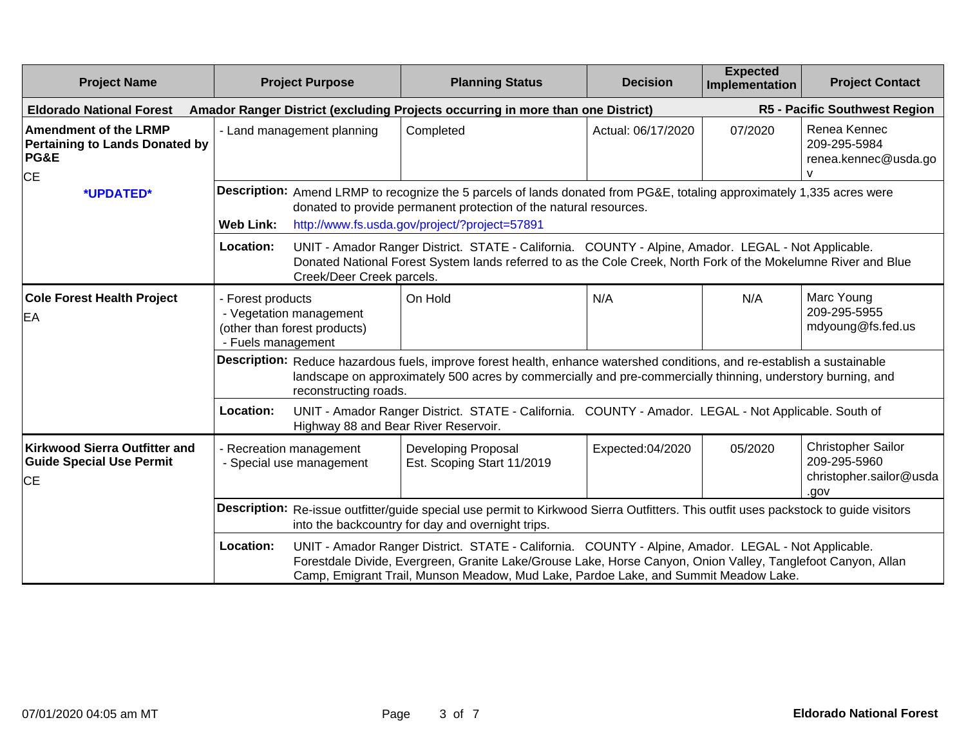| <b>Project Name</b>                                                                                   | <b>Project Purpose</b>                                                                                                                                                                                                                                                                                                  |                           | <b>Planning Status</b>                                                                                                                                                                                                                       | <b>Decision</b>                                                                 | <b>Expected</b><br>Implementation | <b>Project Contact</b>                                                       |  |
|-------------------------------------------------------------------------------------------------------|-------------------------------------------------------------------------------------------------------------------------------------------------------------------------------------------------------------------------------------------------------------------------------------------------------------------------|---------------------------|----------------------------------------------------------------------------------------------------------------------------------------------------------------------------------------------------------------------------------------------|---------------------------------------------------------------------------------|-----------------------------------|------------------------------------------------------------------------------|--|
| <b>Eldorado National Forest</b>                                                                       |                                                                                                                                                                                                                                                                                                                         |                           |                                                                                                                                                                                                                                              | Amador Ranger District (excluding Projects occurring in more than one District) |                                   | R5 - Pacific Southwest Region                                                |  |
| <b>Amendment of the LRMP</b><br><b>Pertaining to Lands Donated by</b><br><b>PG&amp;E</b><br><b>CE</b> | - Land management planning                                                                                                                                                                                                                                                                                              |                           | Completed                                                                                                                                                                                                                                    | Actual: 06/17/2020                                                              | 07/2020                           | Renea Kennec<br>209-295-5984<br>renea.kennec@usda.go                         |  |
| *UPDATED*                                                                                             | <b>Web Link:</b>                                                                                                                                                                                                                                                                                                        |                           | Description: Amend LRMP to recognize the 5 parcels of lands donated from PG&E, totaling approximately 1,335 acres were<br>donated to provide permanent protection of the natural resources.<br>http://www.fs.usda.gov/project/?project=57891 |                                                                                 |                                   |                                                                              |  |
|                                                                                                       | Location:                                                                                                                                                                                                                                                                                                               | Creek/Deer Creek parcels. | UNIT - Amador Ranger District. STATE - California. COUNTY - Alpine, Amador. LEGAL - Not Applicable.<br>Donated National Forest System lands referred to as the Cole Creek, North Fork of the Mokelumne River and Blue                        |                                                                                 |                                   |                                                                              |  |
| <b>Cole Forest Health Project</b><br>EA                                                               | - Forest products<br>- Vegetation management<br>(other than forest products)<br>- Fuels management                                                                                                                                                                                                                      |                           | On Hold                                                                                                                                                                                                                                      | N/A                                                                             | N/A                               | Marc Young<br>209-295-5955<br>mdyoung@fs.fed.us                              |  |
|                                                                                                       |                                                                                                                                                                                                                                                                                                                         | reconstructing roads.     | Description: Reduce hazardous fuels, improve forest health, enhance watershed conditions, and re-establish a sustainable<br>landscape on approximately 500 acres by commercially and pre-commercially thinning, understory burning, and      |                                                                                 |                                   |                                                                              |  |
|                                                                                                       | Location:                                                                                                                                                                                                                                                                                                               |                           | UNIT - Amador Ranger District. STATE - California. COUNTY - Amador. LEGAL - Not Applicable. South of<br>Highway 88 and Bear River Reservoir.                                                                                                 |                                                                                 |                                   |                                                                              |  |
| <b>Kirkwood Sierra Outfitter and</b><br><b>Guide Special Use Permit</b><br><b>CE</b>                  | - Recreation management<br>- Special use management                                                                                                                                                                                                                                                                     |                           | <b>Developing Proposal</b><br>Est. Scoping Start 11/2019                                                                                                                                                                                     | Expected:04/2020                                                                | 05/2020                           | <b>Christopher Sailor</b><br>209-295-5960<br>christopher.sailor@usda<br>.gov |  |
|                                                                                                       | Description: Re-issue outfitter/guide special use permit to Kirkwood Sierra Outfitters. This outfit uses packstock to guide visitors<br>into the backcountry for day and overnight trips.                                                                                                                               |                           |                                                                                                                                                                                                                                              |                                                                                 |                                   |                                                                              |  |
|                                                                                                       | Location:<br>UNIT - Amador Ranger District. STATE - California. COUNTY - Alpine, Amador. LEGAL - Not Applicable.<br>Forestdale Divide, Evergreen, Granite Lake/Grouse Lake, Horse Canyon, Onion Valley, Tanglefoot Canyon, Allan<br>Camp, Emigrant Trail, Munson Meadow, Mud Lake, Pardoe Lake, and Summit Meadow Lake. |                           |                                                                                                                                                                                                                                              |                                                                                 |                                   |                                                                              |  |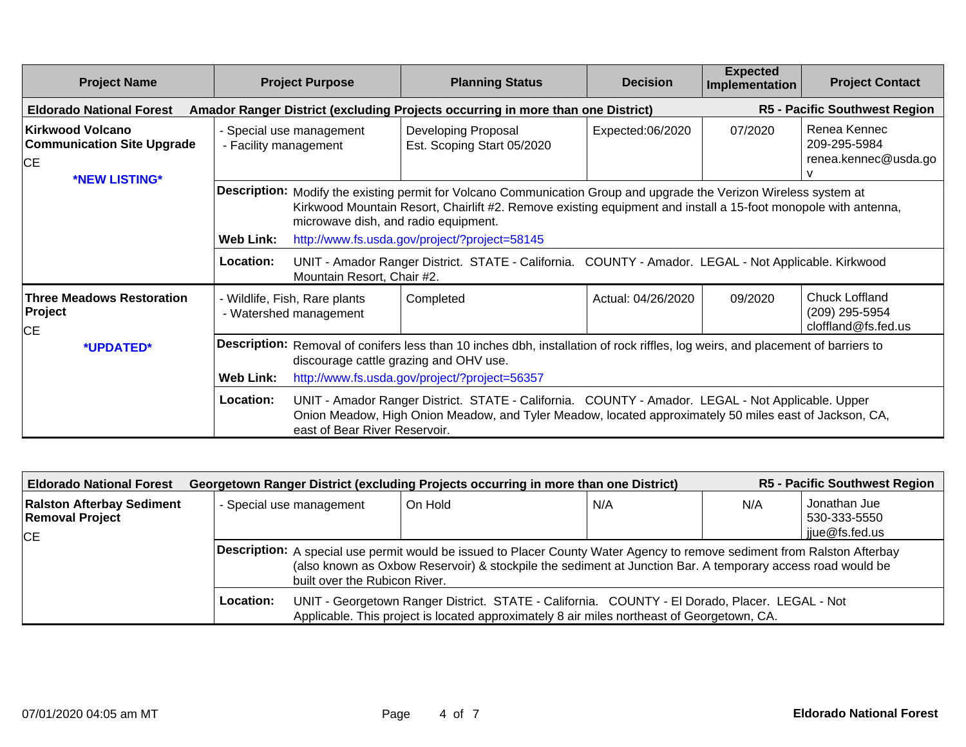| <b>Project Name</b>                                                                                                                                        | <b>Project Purpose</b>                                         | <b>Planning Status</b>                                                                                                                                                                                                                                                                                                                                                                                                                           | <b>Decision</b>    | <b>Expected</b><br>Implementation | <b>Project Contact</b>                                  |  |  |  |
|------------------------------------------------------------------------------------------------------------------------------------------------------------|----------------------------------------------------------------|--------------------------------------------------------------------------------------------------------------------------------------------------------------------------------------------------------------------------------------------------------------------------------------------------------------------------------------------------------------------------------------------------------------------------------------------------|--------------------|-----------------------------------|---------------------------------------------------------|--|--|--|
| <b>R5 - Pacific Southwest Region</b><br><b>Eldorado National Forest</b><br>Amador Ranger District (excluding Projects occurring in more than one District) |                                                                |                                                                                                                                                                                                                                                                                                                                                                                                                                                  |                    |                                   |                                                         |  |  |  |
| Kirkwood Volcano<br><b>Communication Site Upgrade</b><br><b>CE</b><br>*NEW LISTING*                                                                        | - Special use management<br>- Facility management              | Developing Proposal<br>Est. Scoping Start 05/2020                                                                                                                                                                                                                                                                                                                                                                                                | Expected:06/2020   | 07/2020                           | Renea Kennec<br>209-295-5984<br>renea.kennec@usda.go    |  |  |  |
|                                                                                                                                                            | Web Link:                                                      | Description: Modify the existing permit for Volcano Communication Group and upgrade the Verizon Wireless system at<br>Kirkwood Mountain Resort, Chairlift #2. Remove existing equipment and install a 15-foot monopole with antenna,<br>microwave dish, and radio equipment.<br>http://www.fs.usda.gov/project/?project=58145                                                                                                                    |                    |                                   |                                                         |  |  |  |
|                                                                                                                                                            | Location:<br>Mountain Resort, Chair #2.                        | UNIT - Amador Ranger District. STATE - California. COUNTY - Amador. LEGAL - Not Applicable. Kirkwood                                                                                                                                                                                                                                                                                                                                             |                    |                                   |                                                         |  |  |  |
| <b>Three Meadows Restoration</b><br>Project<br>IСE                                                                                                         | - Wildlife, Fish, Rare plants<br>- Watershed management        | Completed                                                                                                                                                                                                                                                                                                                                                                                                                                        | Actual: 04/26/2020 | 09/2020                           | Chuck Loffland<br>(209) 295-5954<br>cloffland@fs.fed.us |  |  |  |
| *UPDATED*                                                                                                                                                  | <b>Web Link:</b><br>Location:<br>east of Bear River Reservoir. | <b>Description:</b> Removal of conifers less than 10 inches dbh, installation of rock riffles, log weirs, and placement of barriers to<br>discourage cattle grazing and OHV use.<br>http://www.fs.usda.gov/project/?project=56357<br>UNIT - Amador Ranger District. STATE - California. COUNTY - Amador. LEGAL - Not Applicable. Upper<br>Onion Meadow, High Onion Meadow, and Tyler Meadow, located approximately 50 miles east of Jackson, CA, |                    |                                   |                                                         |  |  |  |

| <b>Eldorado National Forest</b>                            |                          | Georgetown Ranger District (excluding Projects occurring in more than one District)                                      |     | <b>R5 - Pacific Southwest Region</b> |  |  |  |  |
|------------------------------------------------------------|--------------------------|--------------------------------------------------------------------------------------------------------------------------|-----|--------------------------------------|--|--|--|--|
| <b>Ralston Afterbay Sediment</b><br><b>Removal Project</b> | - Special use management | On Hold                                                                                                                  | N/A | Jonathan Jue<br>530-333-5550         |  |  |  |  |
| <b>CE</b>                                                  |                          | jjue@fs.fed.us                                                                                                           |     |                                      |  |  |  |  |
|                                                            |                          | Description: A special use permit would be issued to Placer County Water Agency to remove sediment from Ralston Afterbay |     |                                      |  |  |  |  |
|                                                            |                          | (also known as Oxbow Reservoir) & stockpile the sediment at Junction Bar. A temporary access road would be               |     |                                      |  |  |  |  |
|                                                            |                          | built over the Rubicon River.                                                                                            |     |                                      |  |  |  |  |
|                                                            | Location:                | UNIT - Georgetown Ranger District. STATE - California. COUNTY - El Dorado, Placer. LEGAL - Not                           |     |                                      |  |  |  |  |
|                                                            |                          | Applicable. This project is located approximately 8 air miles northeast of Georgetown, CA.                               |     |                                      |  |  |  |  |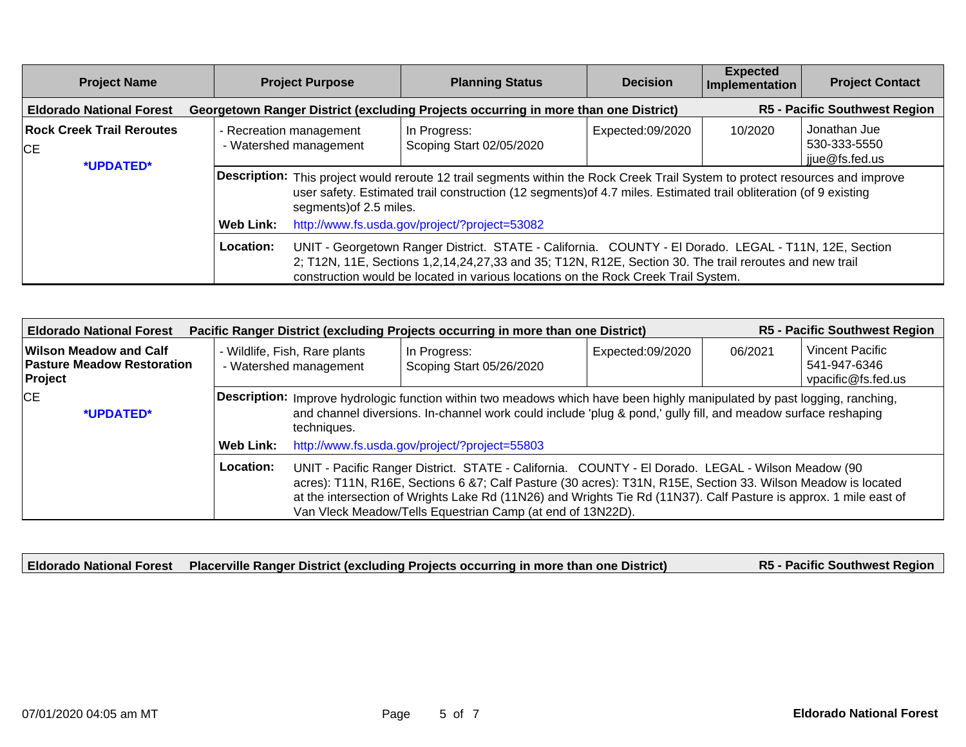| <b>Project Name</b>                                        |                                                   | <b>Project Purpose</b>                                                                                                                                                                                                                                                                                 | <b>Planning Status</b>                                                              | <b>Decision</b>  | <b>Expected</b><br>Implementation | <b>Project Contact</b>                         |  |  |
|------------------------------------------------------------|---------------------------------------------------|--------------------------------------------------------------------------------------------------------------------------------------------------------------------------------------------------------------------------------------------------------------------------------------------------------|-------------------------------------------------------------------------------------|------------------|-----------------------------------|------------------------------------------------|--|--|
| <b>Eldorado National Forest</b>                            |                                                   |                                                                                                                                                                                                                                                                                                        | Georgetown Ranger District (excluding Projects occurring in more than one District) |                  |                                   | <b>R5 - Pacific Southwest Region</b>           |  |  |
| <b>Rock Creek Trail Reroutes</b><br><b>CE</b><br>*UPDATED* | - Recreation management<br>- Watershed management |                                                                                                                                                                                                                                                                                                        | In Progress:<br>Scoping Start 02/05/2020                                            | Expected:09/2020 | 10/2020                           | Jonathan Jue<br>530-333-5550<br>jjue@fs.fed.us |  |  |
|                                                            |                                                   | Description: This project would reroute 12 trail segments within the Rock Creek Trail System to protect resources and improve<br>user safety. Estimated trail construction (12 segments) of 4.7 miles. Estimated trail obliteration (of 9 existing<br>segments) of 2.5 miles.                          |                                                                                     |                  |                                   |                                                |  |  |
|                                                            | <b>Web Link:</b>                                  |                                                                                                                                                                                                                                                                                                        | http://www.fs.usda.gov/project/?project=53082                                       |                  |                                   |                                                |  |  |
|                                                            | Location:                                         | UNIT - Georgetown Ranger District. STATE - California. COUNTY - El Dorado. LEGAL - T11N, 12E, Section<br>2; T12N, 11E, Sections 1,2,14,24,27,33 and 35; T12N, R12E, Section 30. The trail reroutes and new trail<br>construction would be located in various locations on the Rock Creek Trail System. |                                                                                     |                  |                                   |                                                |  |  |

| <b>R5 - Pacific Southwest Region</b><br>Pacific Ranger District (excluding Projects occurring in more than one District)<br><b>Eldorado National Forest</b> |                                                                                                                                                                                                                                                                                                                                                                                                                   |                                                         |                                                                                                                                                                                                                                                   |                  |         |                                                              |  |
|-------------------------------------------------------------------------------------------------------------------------------------------------------------|-------------------------------------------------------------------------------------------------------------------------------------------------------------------------------------------------------------------------------------------------------------------------------------------------------------------------------------------------------------------------------------------------------------------|---------------------------------------------------------|---------------------------------------------------------------------------------------------------------------------------------------------------------------------------------------------------------------------------------------------------|------------------|---------|--------------------------------------------------------------|--|
| Wilson Meadow and Calf<br><b>Pasture Meadow Restoration</b><br>Project                                                                                      |                                                                                                                                                                                                                                                                                                                                                                                                                   | - Wildlife, Fish, Rare plants<br>- Watershed management | In Progress:<br>Scoping Start 05/26/2020                                                                                                                                                                                                          | Expected:09/2020 | 06/2021 | <b>Vincent Pacific</b><br>541-947-6346<br>vpacific@fs.fed.us |  |
| <b>CE</b><br>*UPDATED*                                                                                                                                      |                                                                                                                                                                                                                                                                                                                                                                                                                   | techniques.                                             | <b>Description:</b> Improve hydrologic function within two meadows which have been highly manipulated by past logging, ranching,<br>and channel diversions. In-channel work could include 'plug & pond,' gully fill, and meadow surface reshaping |                  |         |                                                              |  |
|                                                                                                                                                             | Web Link:                                                                                                                                                                                                                                                                                                                                                                                                         |                                                         | http://www.fs.usda.gov/project/?project=55803                                                                                                                                                                                                     |                  |         |                                                              |  |
|                                                                                                                                                             | Location:<br>UNIT - Pacific Ranger District. STATE - California. COUNTY - El Dorado. LEGAL - Wilson Meadow (90<br>acres): T11N, R16E, Sections 6 &7; Calf Pasture (30 acres): T31N, R15E, Section 33. Wilson Meadow is located<br>at the intersection of Wrights Lake Rd (11N26) and Wrights Tie Rd (11N37). Calf Pasture is approx. 1 mile east of<br>Van Vleck Meadow/Tells Equestrian Camp (at end of 13N22D). |                                                         |                                                                                                                                                                                                                                                   |                  |         |                                                              |  |

|  | Eldorado National Forest   Placerville Ranger District (excluding Projects occurring in more than one District) | <b>R5 - Pacific Southwest Region</b> |
|--|-----------------------------------------------------------------------------------------------------------------|--------------------------------------|
|  |                                                                                                                 |                                      |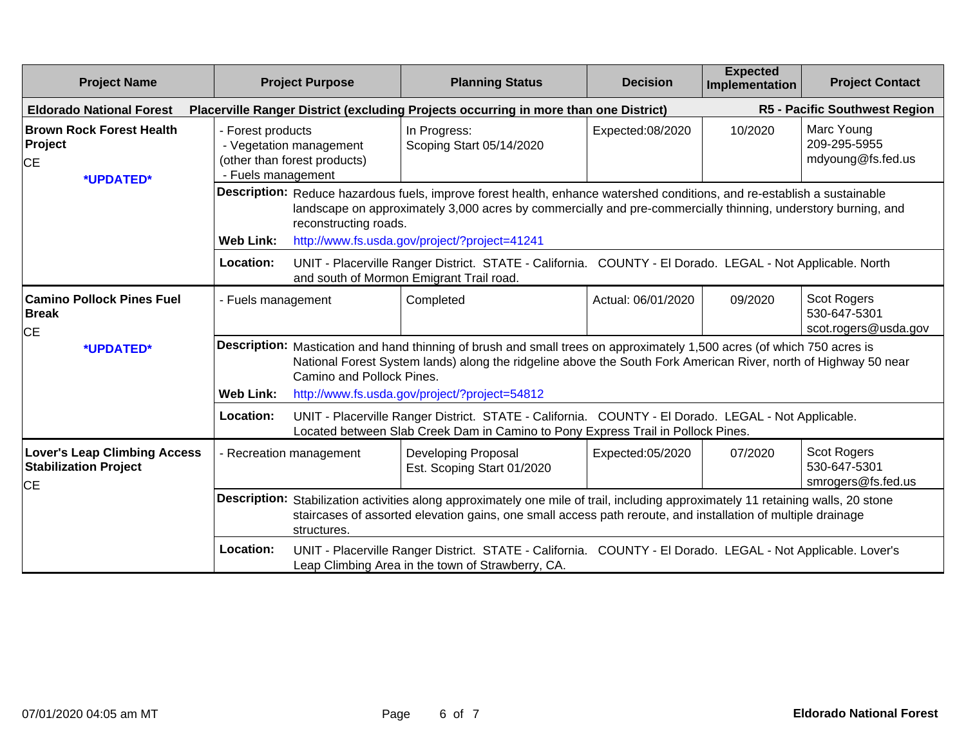| <b>Project Name</b>                                                              | <b>Project Purpose</b>                                                                             |                           | <b>Planning Status</b>                                                                                                                                                                                                                            | <b>Decision</b>                                                                                                                                                                                                                           | <b>Expected</b><br>Implementation | <b>Project Contact</b>                              |  |
|----------------------------------------------------------------------------------|----------------------------------------------------------------------------------------------------|---------------------------|---------------------------------------------------------------------------------------------------------------------------------------------------------------------------------------------------------------------------------------------------|-------------------------------------------------------------------------------------------------------------------------------------------------------------------------------------------------------------------------------------------|-----------------------------------|-----------------------------------------------------|--|
| <b>Eldorado National Forest</b>                                                  |                                                                                                    |                           |                                                                                                                                                                                                                                                   | R5 - Pacific Southwest Region<br>Placerville Ranger District (excluding Projects occurring in more than one District)                                                                                                                     |                                   |                                                     |  |
| <b>Brown Rock Forest Health</b><br>Project<br><b>CE</b><br>*UPDATED*             | - Forest products<br>- Vegetation management<br>(other than forest products)<br>- Fuels management |                           | In Progress:<br>Scoping Start 05/14/2020                                                                                                                                                                                                          | Expected:08/2020                                                                                                                                                                                                                          | 10/2020                           | Marc Young<br>209-295-5955<br>mdyoung@fs.fed.us     |  |
|                                                                                  | <b>Web Link:</b>                                                                                   | reconstructing roads.     | http://www.fs.usda.gov/project/?project=41241                                                                                                                                                                                                     | Description: Reduce hazardous fuels, improve forest health, enhance watershed conditions, and re-establish a sustainable<br>landscape on approximately 3,000 acres by commercially and pre-commercially thinning, understory burning, and |                                   |                                                     |  |
|                                                                                  | Location:                                                                                          |                           | UNIT - Placerville Ranger District. STATE - California. COUNTY - El Dorado. LEGAL - Not Applicable. North<br>and south of Mormon Emigrant Trail road.                                                                                             |                                                                                                                                                                                                                                           |                                   |                                                     |  |
| <b>Camino Pollock Pines Fuel</b><br><b>Break</b><br><b>CE</b>                    | - Fuels management                                                                                 |                           | Completed                                                                                                                                                                                                                                         | Actual: 06/01/2020                                                                                                                                                                                                                        | 09/2020                           | Scot Rogers<br>530-647-5301<br>scot.rogers@usda.gov |  |
| *UPDATED*                                                                        |                                                                                                    | Camino and Pollock Pines. | <b>Description:</b> Mastication and hand thinning of brush and small trees on approximately 1,500 acres (of which 750 acres is<br>National Forest System lands) along the ridgeline above the South Fork American River, north of Highway 50 near |                                                                                                                                                                                                                                           |                                   |                                                     |  |
|                                                                                  | <b>Web Link:</b>                                                                                   |                           | http://www.fs.usda.gov/project/?project=54812                                                                                                                                                                                                     |                                                                                                                                                                                                                                           |                                   |                                                     |  |
|                                                                                  | Location:                                                                                          |                           | UNIT - Placerville Ranger District. STATE - California. COUNTY - El Dorado. LEGAL - Not Applicable.<br>Located between Slab Creek Dam in Camino to Pony Express Trail in Pollock Pines.                                                           |                                                                                                                                                                                                                                           |                                   |                                                     |  |
| <b>Lover's Leap Climbing Access</b><br><b>Stabilization Project</b><br><b>CE</b> | - Recreation management                                                                            |                           |                                                                                                                                                                                                                                                   | Scot Rogers<br><b>Developing Proposal</b><br>Expected:05/2020<br>07/2020<br>530-647-5301<br>Est. Scoping Start 01/2020<br>smrogers@fs.fed.us                                                                                              |                                   |                                                     |  |
|                                                                                  |                                                                                                    | structures.               | Description: Stabilization activities along approximately one mile of trail, including approximately 11 retaining walls, 20 stone<br>staircases of assorted elevation gains, one small access path reroute, and installation of multiple drainage |                                                                                                                                                                                                                                           |                                   |                                                     |  |
|                                                                                  | Location:                                                                                          |                           | UNIT - Placerville Ranger District. STATE - California. COUNTY - El Dorado. LEGAL - Not Applicable. Lover's<br>Leap Climbing Area in the town of Strawberry, CA.                                                                                  |                                                                                                                                                                                                                                           |                                   |                                                     |  |